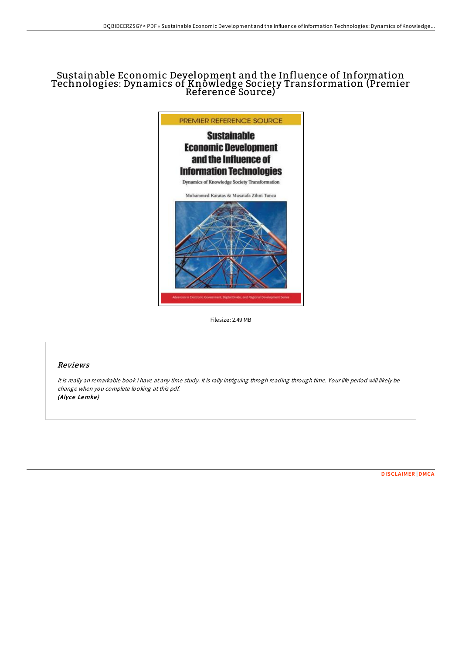# Sustainable Economic Development and the Influence of Information Technologies: Dynamics of Knowledge Society Transformation (Premier Reference Source)



Filesize: 2.49 MB

# Reviews

It is really an remarkable book i have at any time study. It is rally intriguing throgh reading through time. Your life period will likely be change when you complete looking at this pdf. (Alyce Lemke)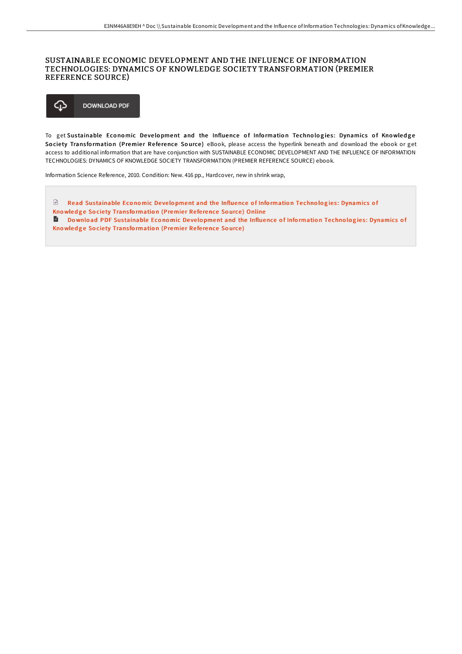## SUSTAINABLE ECONOMIC DEVELOPMENT AND THE INFLUENCE OF INFORMATION TECHNOLOGIES: DYNAMICS OF KNOWLEDGE SOCIETY TRANSFORMATION (PREMIER REFERENCE SOURCE)



To get Sustainable Economic Development and the Influence of Information Technologies: Dynamics of Knowledge Society Transformation (Premier Reference Source) eBook, please access the hyperlink beneath and download the ebook or get access to additional information that are have conjunction with SUSTAINABLE ECONOMIC DEVELOPMENT AND THE INFLUENCE OF INFORMATION TECHNOLOGIES: DYNAMICS OF KNOWLEDGE SOCIETY TRANSFORMATION (PREMIER REFERENCE SOURCE) ebook.

Information Science Reference, 2010. Condition: New. 416 pp., Hardcover, new in shrink wrap,

 $\Box$  Read Sustainable Economic Development and the Influence of Information Technologies: [Dynamics](http://almighty24.tech/sustainable-economic-development-and-the-influen.html) of Kno wledge Society Transformation (Premier Reference Source) Online **Download PDF Sustainable Economic Development and the Influence of Information Technologies: [Dynamics](http://almighty24.tech/sustainable-economic-development-and-the-influen.html) of** Kno wledge Society Transformation (Premier Reference Source)